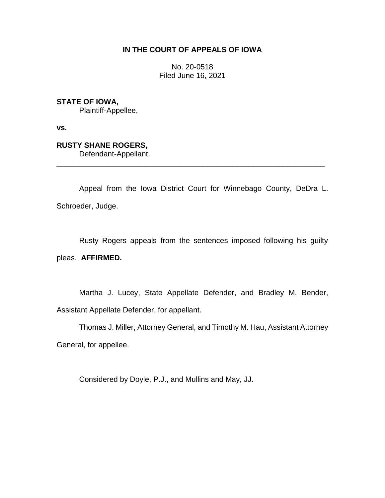# **IN THE COURT OF APPEALS OF IOWA**

No. 20-0518 Filed June 16, 2021

**STATE OF IOWA,**

Plaintiff-Appellee,

**vs.**

**RUSTY SHANE ROGERS,**

Defendant-Appellant.

Appeal from the Iowa District Court for Winnebago County, DeDra L. Schroeder, Judge.

\_\_\_\_\_\_\_\_\_\_\_\_\_\_\_\_\_\_\_\_\_\_\_\_\_\_\_\_\_\_\_\_\_\_\_\_\_\_\_\_\_\_\_\_\_\_\_\_\_\_\_\_\_\_\_\_\_\_\_\_\_\_\_\_

Rusty Rogers appeals from the sentences imposed following his guilty pleas. **AFFIRMED.**

Martha J. Lucey, State Appellate Defender, and Bradley M. Bender, Assistant Appellate Defender, for appellant.

Thomas J. Miller, Attorney General, and Timothy M. Hau, Assistant Attorney General, for appellee.

Considered by Doyle, P.J., and Mullins and May, JJ.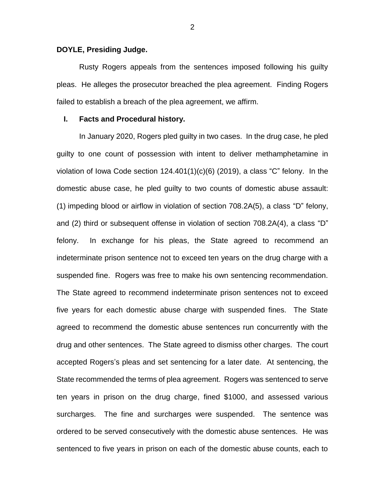### **DOYLE, Presiding Judge.**

Rusty Rogers appeals from the sentences imposed following his guilty pleas. He alleges the prosecutor breached the plea agreement. Finding Rogers failed to establish a breach of the plea agreement, we affirm.

### **I. Facts and Procedural history.**

In January 2020, Rogers pled guilty in two cases. In the drug case, he pled guilty to one count of possession with intent to deliver methamphetamine in violation of Iowa Code section  $124.401(1)(c)(6)$  (2019), a class "C" felony. In the domestic abuse case, he pled guilty to two counts of domestic abuse assault: (1) impeding blood or airflow in violation of section 708.2A(5), a class "D" felony, and (2) third or subsequent offense in violation of section 708.2A(4), a class "D" felony. In exchange for his pleas, the State agreed to recommend an indeterminate prison sentence not to exceed ten years on the drug charge with a suspended fine. Rogers was free to make his own sentencing recommendation. The State agreed to recommend indeterminate prison sentences not to exceed five years for each domestic abuse charge with suspended fines. The State agreed to recommend the domestic abuse sentences run concurrently with the drug and other sentences. The State agreed to dismiss other charges. The court accepted Rogers's pleas and set sentencing for a later date. At sentencing, the State recommended the terms of plea agreement. Rogers was sentenced to serve ten years in prison on the drug charge, fined \$1000, and assessed various surcharges. The fine and surcharges were suspended. The sentence was ordered to be served consecutively with the domestic abuse sentences. He was sentenced to five years in prison on each of the domestic abuse counts, each to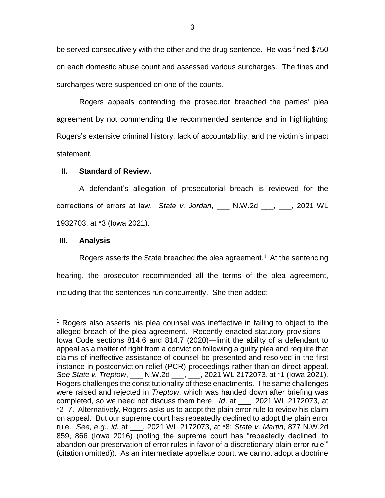be served consecutively with the other and the drug sentence. He was fined \$750 on each domestic abuse count and assessed various surcharges. The fines and surcharges were suspended on one of the counts.

Rogers appeals contending the prosecutor breached the parties' plea agreement by not commending the recommended sentence and in highlighting Rogers's extensive criminal history, lack of accountability, and the victim's impact statement.

## **II. Standard of Review.**

A defendant's allegation of prosecutorial breach is reviewed for the corrections of errors at law. *State v. Jordan*, \_\_\_ N.W.2d \_\_\_, \_\_\_, 2021 WL 1932703, at \*3 (Iowa 2021).

### **III. Analysis**

 $\overline{a}$ 

Rogers asserts the State breached the plea agreement.<sup>1</sup> At the sentencing hearing, the prosecutor recommended all the terms of the plea agreement, including that the sentences run concurrently. She then added:

<sup>&</sup>lt;sup>1</sup> Rogers also asserts his plea counsel was ineffective in failing to object to the alleged breach of the plea agreement. Recently enacted statutory provisions— Iowa Code sections 814.6 and 814.7 (2020)—limit the ability of a defendant to appeal as a matter of right from a conviction following a guilty plea and require that claims of ineffective assistance of counsel be presented and resolved in the first instance in postconviction-relief (PCR) proceedings rather than on direct appeal. *See State v. Treptow*, \_\_\_ N.W.2d \_\_\_, \_\_\_, 2021 WL 2172073, at \*1 (Iowa 2021). Rogers challenges the constitutionality of these enactments. The same challenges were raised and rejected in *Treptow*, which was handed down after briefing was completed, so we need not discuss them here. *Id*. at \_\_\_, 2021 WL 2172073, at \*2–7. Alternatively, Rogers asks us to adopt the plain error rule to review his claim on appeal. But our supreme court has repeatedly declined to adopt the plain error rule. *See, e.g.*, *id.* at \_\_\_, 2021 WL 2172073, at \*8; *State v. Martin*, 877 N.W.2d 859, 866 (Iowa 2016) (noting the supreme court has "repeatedly declined 'to abandon our preservation of error rules in favor of a discretionary plain error rule'" (citation omitted)). As an intermediate appellate court, we cannot adopt a doctrine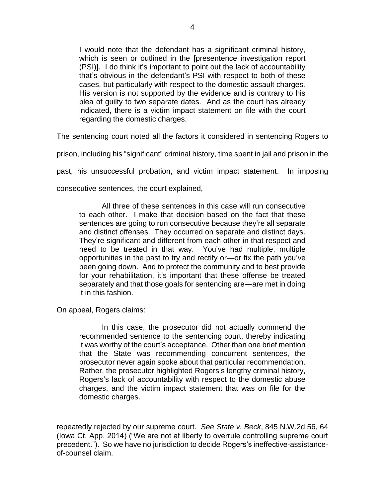I would note that the defendant has a significant criminal history, which is seen or outlined in the [presentence investigation report (PSI)]. I do think it's important to point out the lack of accountability that's obvious in the defendant's PSI with respect to both of these cases, but particularly with respect to the domestic assault charges. His version is not supported by the evidence and is contrary to his plea of guilty to two separate dates. And as the court has already indicated, there is a victim impact statement on file with the court regarding the domestic charges.

The sentencing court noted all the factors it considered in sentencing Rogers to

prison, including his "significant" criminal history, time spent in jail and prison in the

past, his unsuccessful probation, and victim impact statement. In imposing

consecutive sentences, the court explained,

All three of these sentences in this case will run consecutive to each other. I make that decision based on the fact that these sentences are going to run consecutive because they're all separate and distinct offenses. They occurred on separate and distinct days. They're significant and different from each other in that respect and need to be treated in that way. You've had multiple, multiple opportunities in the past to try and rectify or—or fix the path you've been going down. And to protect the community and to best provide for your rehabilitation, it's important that these offense be treated separately and that those goals for sentencing are—are met in doing it in this fashion.

On appeal, Rogers claims:

 $\overline{a}$ 

In this case, the prosecutor did not actually commend the recommended sentence to the sentencing court, thereby indicating it was worthy of the court's acceptance. Other than one brief mention that the State was recommending concurrent sentences, the prosecutor never again spoke about that particular recommendation. Rather, the prosecutor highlighted Rogers's lengthy criminal history, Rogers's lack of accountability with respect to the domestic abuse charges, and the victim impact statement that was on file for the domestic charges.

repeatedly rejected by our supreme court. *See State v. Beck*, 845 N.W.2d 56, 64 (Iowa Ct. App. 2014) ("We are not at liberty to overrule controlling supreme court precedent."). So we have no jurisdiction to decide Rogers's ineffective-assistanceof-counsel claim.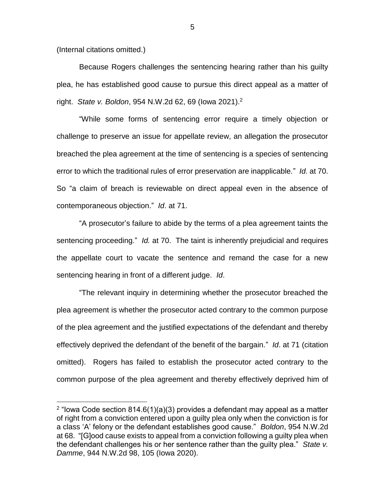(Internal citations omitted.)

 $\overline{a}$ 

Because Rogers challenges the sentencing hearing rather than his guilty plea, he has established good cause to pursue this direct appeal as a matter of right. *State v. Boldon*, 954 N.W.2d 62, 69 (Iowa 2021). 2

"While some forms of sentencing error require a timely objection or challenge to preserve an issue for appellate review, an allegation the prosecutor breached the plea agreement at the time of sentencing is a species of sentencing error to which the traditional rules of error preservation are inapplicable*.*" *Id.* at 70. So "a claim of breach is reviewable on direct appeal even in the absence of contemporaneous objection." *Id*. at 71.

"A prosecutor's failure to abide by the terms of a plea agreement taints the sentencing proceeding." *Id.* at 70. The taint is inherently prejudicial and requires the appellate court to vacate the sentence and remand the case for a new sentencing hearing in front of a different judge. *Id*.

"The relevant inquiry in determining whether the prosecutor breached the plea agreement is whether the prosecutor acted contrary to the common purpose of the plea agreement and the justified expectations of the defendant and thereby effectively deprived the defendant of the benefit of the bargain." *Id*. at 71 (citation omitted). Rogers has failed to establish the prosecutor acted contrary to the common purpose of the plea agreement and thereby effectively deprived him of

<sup>&</sup>lt;sup>2</sup> "lowa Code section 814.6(1)(a)(3) provides a defendant may appeal as a matter of right from a conviction entered upon a guilty plea only when the conviction is for a class 'A' felony or the defendant establishes good cause." *Boldon*, 954 N.W.2d at 68. "[G]ood cause exists to appeal from a conviction following a guilty plea when the defendant challenges his or her sentence rather than the guilty plea." *State v. Damme*, 944 N.W.2d 98, 105 (Iowa 2020).